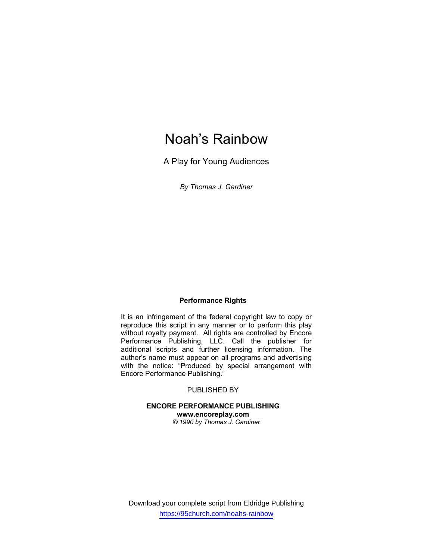# Noah's Rainbow

A Play for Young Audiences

*By Thomas J. Gardiner* 

## **Performance Rights**

It is an infringement of the federal copyright law to copy or reproduce this script in any manner or to perform this play without royalty payment. All rights are controlled by Encore Performance Publishing, LLC. Call the publisher for additional scripts and further licensing information. The author's name must appear on all programs and advertising with the notice: "Produced by special arrangement with Encore Performance Publishing."

## PUBLISHED BY

### **ENCORE PERFORMANCE PUBLISHING www.encoreplay.com**  *© 1990 by Thomas J. Gardiner*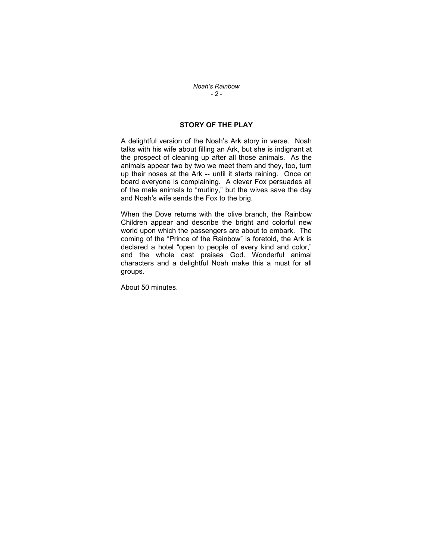#### *Noah's Rainbow - 2 -*

## **STORY OF THE PLAY**

A delightful version of the Noah's Ark story in verse. Noah talks with his wife about filling an Ark, but she is indignant at the prospect of cleaning up after all those animals. As the animals appear two by two we meet them and they, too, turn up their noses at the Ark -- until it starts raining. Once on board everyone is complaining. A clever Fox persuades all of the male animals to "mutiny," but the wives save the day and Noah's wife sends the Fox to the brig.

When the Dove returns with the olive branch, the Rainbow Children appear and describe the bright and colorful new world upon which the passengers are about to embark. The coming of the "Prince of the Rainbow" is foretold, the Ark is declared a hotel "open to people of every kind and color," and the whole cast praises God. Wonderful animal characters and a delightful Noah make this a must for all groups.

About 50 minutes.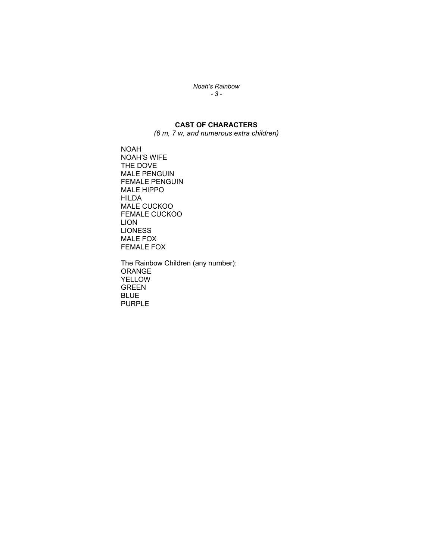*Noah's Rainbow - 3 -* 

# **CAST OF CHARACTERS**

*(6 m, 7 w, and numerous extra children)* 

NOAH NOAH'S WIFE THE DOVE MALE PENGUIN FEMALE PENGUIN MALE HIPPO HILDA MALE CUCKOO FEMALE CUCKOO LION **LIONESS** MALE FOX FEMALE FOX

The Rainbow Children (any number): ORANGE YELLOW GREEN BLUE PURPLE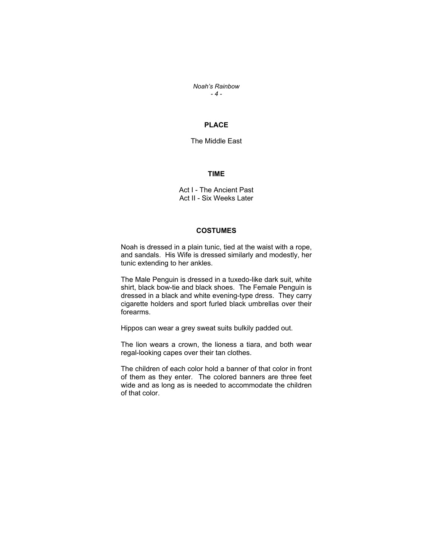*Noah's Rainbow - 4 -* 

## **PLACE**

The Middle East

#### **TIME**

Act I - The Ancient Past Act II - Six Weeks Later

## **COSTUMES**

Noah is dressed in a plain tunic, tied at the waist with a rope, and sandals. His Wife is dressed similarly and modestly, her tunic extending to her ankles.

The Male Penguin is dressed in a tuxedo-like dark suit, white shirt, black bow-tie and black shoes. The Female Penguin is dressed in a black and white evening-type dress. They carry cigarette holders and sport furled black umbrellas over their forearms.

Hippos can wear a grey sweat suits bulkily padded out.

The lion wears a crown, the lioness a tiara, and both wear regal-looking capes over their tan clothes.

The children of each color hold a banner of that color in front of them as they enter. The colored banners are three feet wide and as long as is needed to accommodate the children of that color.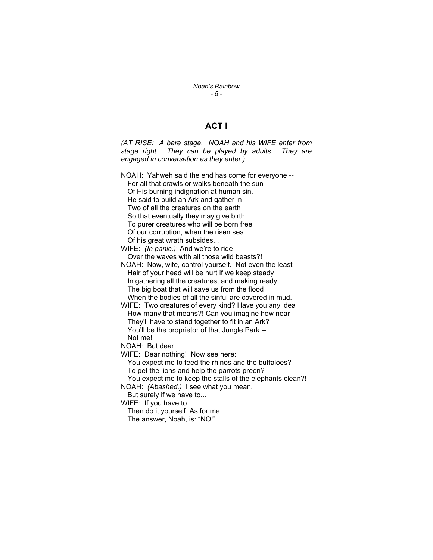*Noah's Rainbow - 5 -* 

## **ACT I**

*(AT RISE: A bare stage. NOAH and his WIFE enter from stage right. They can be played by adults. They are engaged in conversation as they enter.)* 

NOAH: Yahweh said the end has come for everyone -- For all that crawls or walks beneath the sun Of His burning indignation at human sin. He said to build an Ark and gather in Two of all the creatures on the earth So that eventually they may give birth To purer creatures who will be born free Of our corruption, when the risen sea Of his great wrath subsides... WIFE: *(In panic.)*: And we're to ride

Over the waves with all those wild beasts?! NOAH: Now, wife, control yourself. Not even the least Hair of your head will be hurt if we keep steady In gathering all the creatures, and making ready The big boat that will save us from the flood When the bodies of all the sinful are covered in mud.

WIFE: Two creatures of every kind? Have you any idea How many that means?! Can you imagine how near They'll have to stand together to fit in an Ark? You'll be the proprietor of that Jungle Park --Not me!

NOAH: But dear...

WIFE: Dear nothing! Now see here:

You expect me to feed the rhinos and the buffaloes? To pet the lions and help the parrots preen?

You expect me to keep the stalls of the elephants clean?! NOAH: *(Abashed.)* I see what you mean.

But surely if we have to...

WIFE: If you have to

Then do it yourself. As for me, The answer, Noah, is: "NO!"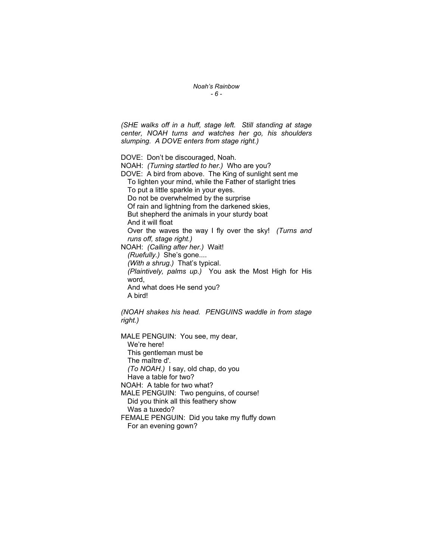*Noah's Rainbow - 6 -* 

*(SHE walks off in a huff, stage left. Still standing at stage center, NOAH turns and watches her go, his shoulders slumping. A DOVE enters from stage right.)*

DOVE: Don't be discouraged, Noah. NOAH: *(Turning startled to her.)* Who are you? DOVE: A bird from above. The King of sunlight sent me

To lighten your mind, while the Father of starlight tries To put a little sparkle in your eyes. Do not be overwhelmed by the surprise

Of rain and lightning from the darkened skies,

But shepherd the animals in your sturdy boat

And it will float

Over the waves the way I fly over the sky! *(Turns and runs off, stage right.)*

NOAH: *(Calling after her.)* Wait!

*(Ruefully.)* She's gone....

*(With a shrug.)* That's typical.

*(Plaintively, palms up.)* You ask the Most High for His word, And what does He send you?

A bird!

*(NOAH shakes his head. PENGUINS waddle in from stage right.)*

MALE PENGUIN: You see, my dear, We're here! This gentleman must be The maître d'. *(To NOAH.)* I say, old chap, do you Have a table for two? NOAH: A table for two what? MALE PENGUIN: Two penguins, of course! Did you think all this feathery show Was a tuxedo? FEMALE PENGUIN: Did you take my fluffy down For an evening gown?